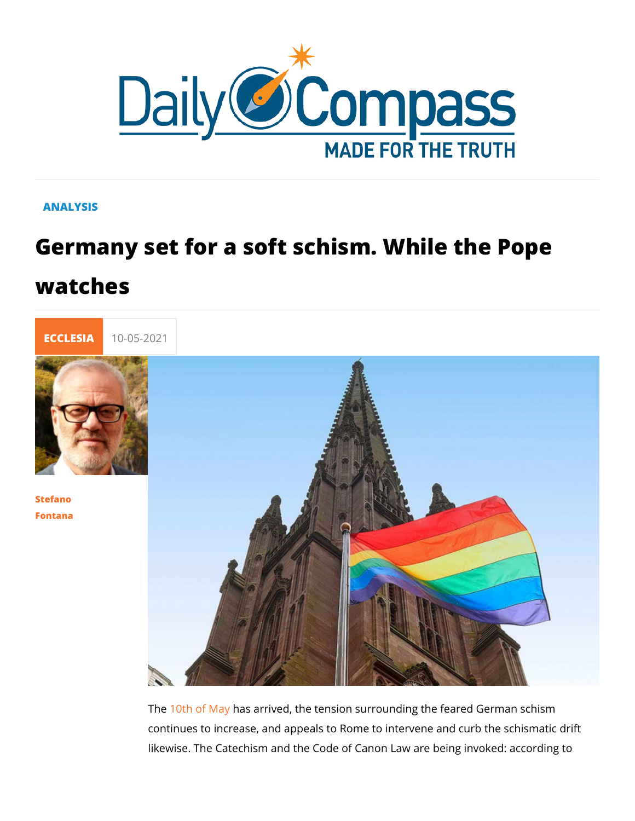## **ANALYSIS**

## Germany set for a soft schism. While t watches



## [Stefan](/en/stefano-fontana)o [Fontan](/en/stefano-fontana)a

The 0th of Mays arrived, the tension surrounding the feared Ge continues to increase, and appeals to Rome to intervene and c likewise. The Catechism and the Code of Canon Law are being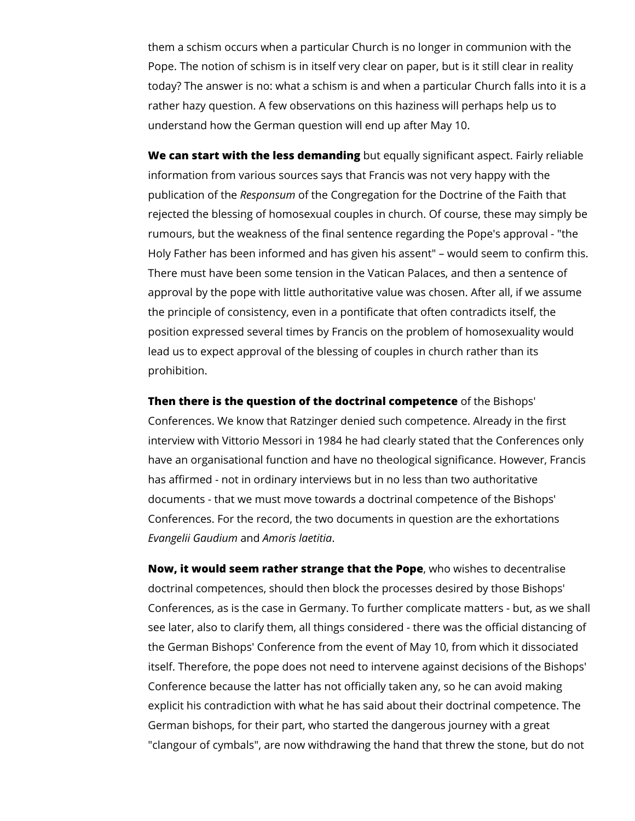them a schism occurs when a particular Church is no longer in communion with the Pope. The notion of schism is in itself very clear on paper, but is it still clear in reality today? The answer is no: what a schism is and when a particular Church falls into it is a rather hazy question. A few observations on this haziness will perhaps help us to understand how the German question will end up after May 10.

**We can start with the less demanding** but equally significant aspect. Fairly reliable information from various sources says that Francis was not very happy with the publication of the *Responsum* of the Congregation for the Doctrine of the Faith that rejected the blessing of homosexual couples in church. Of course, these may simply be rumours, but the weakness of the final sentence regarding the Pope's approval - "the Holy Father has been informed and has given his assent" – would seem to confirm this. There must have been some tension in the Vatican Palaces, and then a sentence of approval by the pope with little authoritative value was chosen. After all, if we assume the principle of consistency, even in a pontificate that often contradicts itself, the position expressed several times by Francis on the problem of homosexuality would lead us to expect approval of the blessing of couples in church rather than its prohibition.

**Then there is the question of the doctrinal competence** of the Bishops' Conferences. We know that Ratzinger denied such competence. Already in the first interview with Vittorio Messori in 1984 he had clearly stated that the Conferences only have an organisational function and have no theological significance. However, Francis has affirmed - not in ordinary interviews but in no less than two authoritative documents - that we must move towards a doctrinal competence of the Bishops' Conferences. For the record, the two documents in question are the exhortations *Evangelii Gaudium* and *Amoris laetitia*.

**Now, it would seem rather strange that the Pope**, who wishes to decentralise doctrinal competences, should then block the processes desired by those Bishops' Conferences, as is the case in Germany. To further complicate matters - but, as we shall see later, also to clarify them, all things considered - there was the official distancing of the German Bishops' Conference from the event of May 10, from which it dissociated itself. Therefore, the pope does not need to intervene against decisions of the Bishops' Conference because the latter has not officially taken any, so he can avoid making explicit his contradiction with what he has said about their doctrinal competence. The German bishops, for their part, who started the dangerous journey with a great "clangour of cymbals", are now withdrawing the hand that threw the stone, but do not